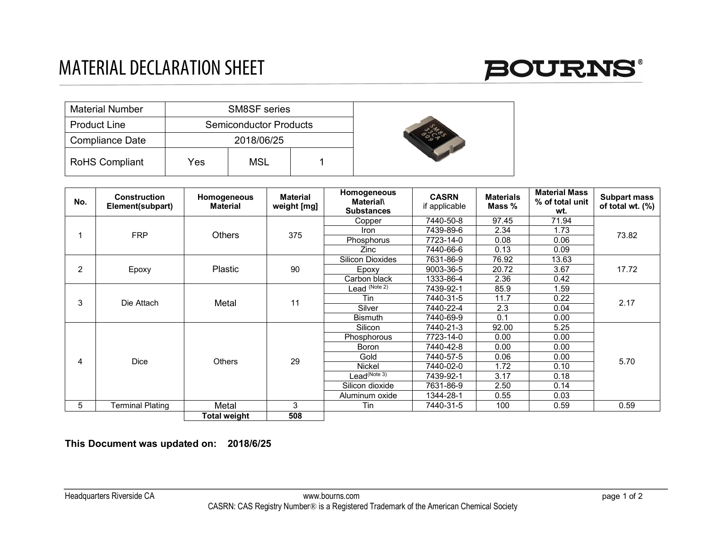

| <b>Material Number</b> |     | <b>SM8SF</b> series           |  |  |
|------------------------|-----|-------------------------------|--|--|
| <b>Product Line</b>    |     | <b>Semiconductor Products</b> |  |  |
| Compliance Date        |     | 2018/06/25                    |  |  |
| <b>RoHS Compliant</b>  | Yes | MSL                           |  |  |

| No. | <b>Construction</b><br>Element(subpart) | Homogeneous<br><b>Material</b> | Material<br>weight [mg] | Homogeneous<br><b>Material</b><br><b>Substances</b> | <b>CASRN</b><br>if applicable | <b>Materials</b><br>Mass % | <b>Material Mass</b><br>% of total unit<br>wt. | <b>Subpart mass</b><br>of total wt. $(\%)$ |
|-----|-----------------------------------------|--------------------------------|-------------------------|-----------------------------------------------------|-------------------------------|----------------------------|------------------------------------------------|--------------------------------------------|
|     | <b>FRP</b>                              | <b>Others</b>                  | 375                     | Copper                                              | 7440-50-8                     | 97.45                      | 71.94                                          | 73.82                                      |
|     |                                         |                                |                         | Iron                                                | 7439-89-6                     | 2.34                       | 1.73                                           |                                            |
|     |                                         |                                |                         | Phosphorus                                          | 7723-14-0                     | 0.08                       | 0.06                                           |                                            |
|     |                                         |                                |                         | Zinc                                                | 7440-66-6                     | 0.13                       | 0.09                                           |                                            |
| 2   |                                         | <b>Plastic</b>                 | 90                      | <b>Silicon Dioxides</b>                             | 7631-86-9                     | 76.92                      | 13.63                                          | 17.72                                      |
|     | Epoxy                                   |                                |                         | Epoxy                                               | 9003-36-5                     | 20.72                      | 3.67                                           |                                            |
|     |                                         |                                |                         | Carbon black                                        | 1333-86-4                     | 2.36                       | 0.42                                           |                                            |
| 3   |                                         | Metal                          | 11                      | Lead <sup>(Note 2)</sup>                            | 7439-92-1                     | 85.9                       | 1.59                                           | 2.17                                       |
|     | Die Attach                              |                                |                         | Tin                                                 | 7440-31-5                     | 11.7                       | 0.22                                           |                                            |
|     |                                         |                                |                         | Silver                                              | 7440-22-4                     | 2.3                        | 0.04                                           |                                            |
|     |                                         |                                |                         | <b>Bismuth</b>                                      | 7440-69-9                     | 0.1                        | 0.00                                           |                                            |
| 4   | <b>Dice</b>                             | <b>Others</b>                  | 29                      | Silicon                                             | 7440-21-3                     | 92.00                      | 5.25                                           | 5.70                                       |
|     |                                         |                                |                         | Phosphorous                                         | 7723-14-0                     | 0.00                       | 0.00                                           |                                            |
|     |                                         |                                |                         | Boron                                               | 7440-42-8                     | 0.00                       | 0.00                                           |                                            |
|     |                                         |                                |                         | Gold                                                | 7440-57-5                     | 0.06                       | 0.00                                           |                                            |
|     |                                         |                                |                         | Nickel                                              | 7440-02-0                     | 1.72                       | 0.10                                           |                                            |
|     |                                         |                                |                         | $\text{lead}^{(\overline{\text{Note }3})}$          | 7439-92-1                     | 3.17                       | 0.18                                           |                                            |
|     |                                         |                                |                         | Silicon dioxide                                     | 7631-86-9                     | 2.50                       | 0.14                                           |                                            |
|     |                                         |                                |                         | Aluminum oxide                                      | 1344-28-1                     | 0.55                       | 0.03                                           |                                            |
| 5   | <b>Terminal Plating</b>                 | Metal                          | 3                       | Tin                                                 | 7440-31-5                     | 100                        | 0.59                                           | 0.59                                       |
|     |                                         | Total weight                   | 508                     |                                                     |                               |                            |                                                |                                            |

**This Document was updated on: 2018/6/25**